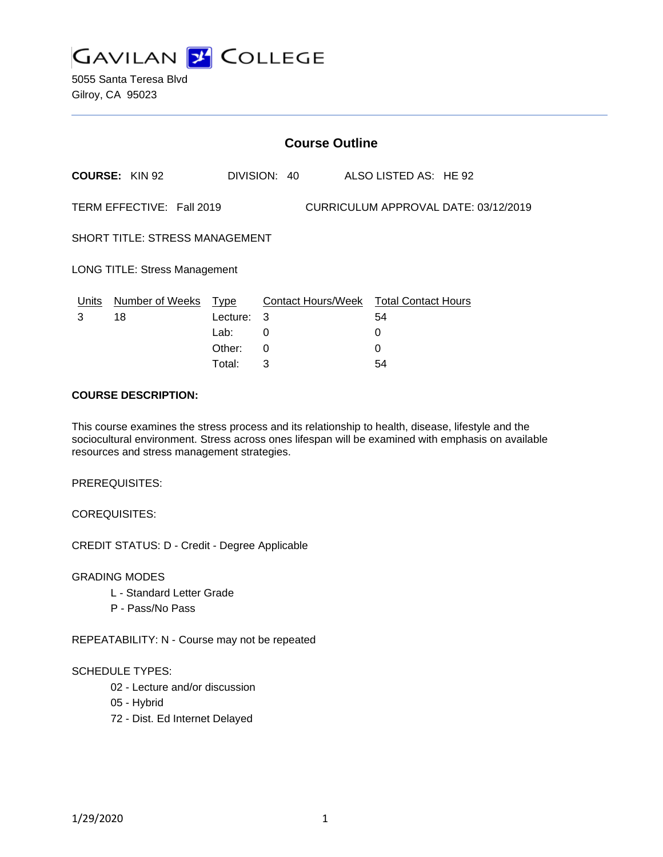

|                                                                   | <b>Course Outline</b> |             |              |  |                                        |  |  |
|-------------------------------------------------------------------|-----------------------|-------------|--------------|--|----------------------------------------|--|--|
|                                                                   | <b>COURSE: KIN 92</b> |             | DIVISION: 40 |  | ALSO LISTED AS: HE 92                  |  |  |
| TERM EFFECTIVE: Fall 2019<br>CURRICULUM APPROVAL DATE: 03/12/2019 |                       |             |              |  |                                        |  |  |
| <b>SHORT TITLE: STRESS MANAGEMENT</b>                             |                       |             |              |  |                                        |  |  |
| <b>LONG TITLE: Stress Management</b>                              |                       |             |              |  |                                        |  |  |
| Units                                                             | Number of Weeks       | <b>Type</b> |              |  | Contact Hours/Week Total Contact Hours |  |  |
| 3                                                                 | 18                    | Lecture:    | 3            |  | 54                                     |  |  |
|                                                                   |                       | Lab:        | $\Omega$     |  | 0                                      |  |  |
|                                                                   |                       | Other:      | 0            |  | ი                                      |  |  |
|                                                                   |                       |             |              |  |                                        |  |  |

Total: 3 54

#### **COURSE DESCRIPTION:**

This course examines the stress process and its relationship to health, disease, lifestyle and the sociocultural environment. Stress across ones lifespan will be examined with emphasis on available resources and stress management strategies.

PREREQUISITES:

COREQUISITES:

CREDIT STATUS: D - Credit - Degree Applicable

GRADING MODES

- L Standard Letter Grade
- P Pass/No Pass

REPEATABILITY: N - Course may not be repeated

#### SCHEDULE TYPES:

- 02 Lecture and/or discussion
- 05 Hybrid
- 72 Dist. Ed Internet Delayed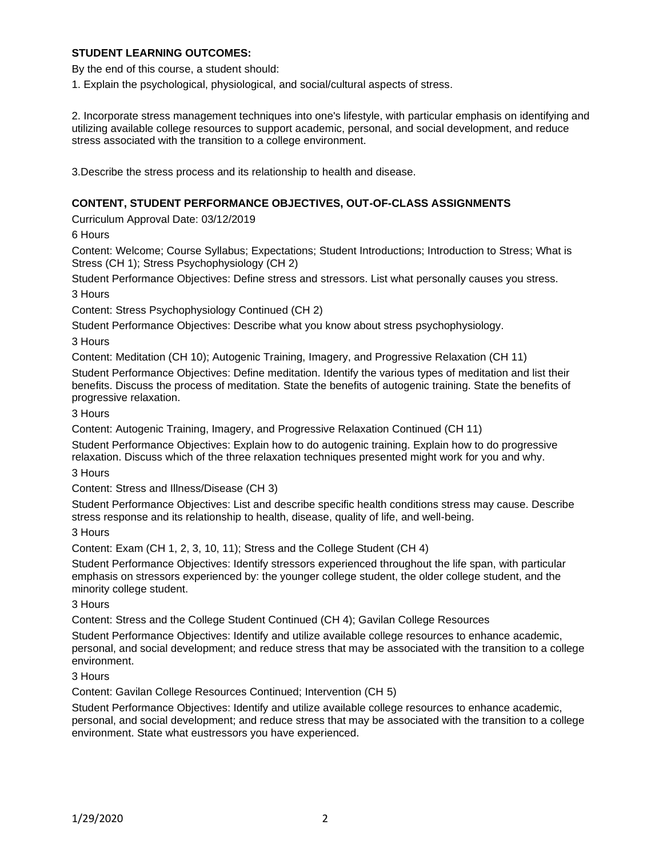### **STUDENT LEARNING OUTCOMES:**

By the end of this course, a student should:

1. Explain the psychological, physiological, and social/cultural aspects of stress.

2. Incorporate stress management techniques into one's lifestyle, with particular emphasis on identifying and utilizing available college resources to support academic, personal, and social development, and reduce stress associated with the transition to a college environment.

3.Describe the stress process and its relationship to health and disease.

### **CONTENT, STUDENT PERFORMANCE OBJECTIVES, OUT-OF-CLASS ASSIGNMENTS**

Curriculum Approval Date: 03/12/2019

6 Hours

Content: Welcome; Course Syllabus; Expectations; Student Introductions; Introduction to Stress; What is Stress (CH 1); Stress Psychophysiology (CH 2)

Student Performance Objectives: Define stress and stressors. List what personally causes you stress.

3 Hours

Content: Stress Psychophysiology Continued (CH 2)

Student Performance Objectives: Describe what you know about stress psychophysiology.

3 Hours

Content: Meditation (CH 10); Autogenic Training, Imagery, and Progressive Relaxation (CH 11)

Student Performance Objectives: Define meditation. Identify the various types of meditation and list their benefits. Discuss the process of meditation. State the benefits of autogenic training. State the benefits of progressive relaxation.

3 Hours

Content: Autogenic Training, Imagery, and Progressive Relaxation Continued (CH 11)

Student Performance Objectives: Explain how to do autogenic training. Explain how to do progressive relaxation. Discuss which of the three relaxation techniques presented might work for you and why.

3 Hours

Content: Stress and Illness/Disease (CH 3)

Student Performance Objectives: List and describe specific health conditions stress may cause. Describe stress response and its relationship to health, disease, quality of life, and well-being.

3 Hours

Content: Exam (CH 1, 2, 3, 10, 11); Stress and the College Student (CH 4)

Student Performance Objectives: Identify stressors experienced throughout the life span, with particular emphasis on stressors experienced by: the younger college student, the older college student, and the minority college student.

3 Hours

Content: Stress and the College Student Continued (CH 4); Gavilan College Resources

Student Performance Objectives: Identify and utilize available college resources to enhance academic, personal, and social development; and reduce stress that may be associated with the transition to a college environment.

3 Hours

Content: Gavilan College Resources Continued; Intervention (CH 5)

Student Performance Objectives: Identify and utilize available college resources to enhance academic, personal, and social development; and reduce stress that may be associated with the transition to a college environment. State what eustressors you have experienced.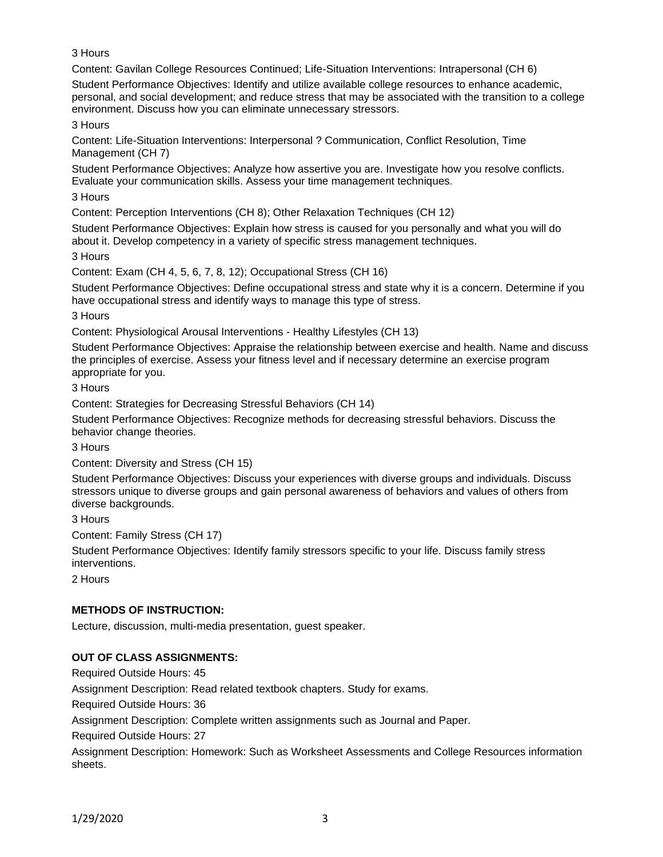3 Hours

Content: Gavilan College Resources Continued; Life-Situation Interventions: Intrapersonal (CH 6)

Student Performance Objectives: Identify and utilize available college resources to enhance academic, personal, and social development; and reduce stress that may be associated with the transition to a college environment. Discuss how you can eliminate unnecessary stressors.

3 Hours

Content: Life-Situation Interventions: Interpersonal ? Communication, Conflict Resolution, Time Management (CH 7)

Student Performance Objectives: Analyze how assertive you are. Investigate how you resolve conflicts. Evaluate your communication skills. Assess your time management techniques.

3 Hours

Content: Perception Interventions (CH 8); Other Relaxation Techniques (CH 12)

Student Performance Objectives: Explain how stress is caused for you personally and what you will do about it. Develop competency in a variety of specific stress management techniques.

3 Hours

Content: Exam (CH 4, 5, 6, 7, 8, 12); Occupational Stress (CH 16)

Student Performance Objectives: Define occupational stress and state why it is a concern. Determine if you have occupational stress and identify ways to manage this type of stress.

3 Hours

Content: Physiological Arousal Interventions - Healthy Lifestyles (CH 13)

Student Performance Objectives: Appraise the relationship between exercise and health. Name and discuss the principles of exercise. Assess your fitness level and if necessary determine an exercise program appropriate for you.

3 Hours

Content: Strategies for Decreasing Stressful Behaviors (CH 14)

Student Performance Objectives: Recognize methods for decreasing stressful behaviors. Discuss the behavior change theories.

3 Hours

Content: Diversity and Stress (CH 15)

Student Performance Objectives: Discuss your experiences with diverse groups and individuals. Discuss stressors unique to diverse groups and gain personal awareness of behaviors and values of others from diverse backgrounds.

3 Hours

Content: Family Stress (CH 17)

Student Performance Objectives: Identify family stressors specific to your life. Discuss family stress interventions.

2 Hours

# **METHODS OF INSTRUCTION:**

Lecture, discussion, multi-media presentation, guest speaker.

# **OUT OF CLASS ASSIGNMENTS:**

Required Outside Hours: 45

Assignment Description: Read related textbook chapters. Study for exams.

Required Outside Hours: 36

Assignment Description: Complete written assignments such as Journal and Paper.

Required Outside Hours: 27

Assignment Description: Homework: Such as Worksheet Assessments and College Resources information sheets.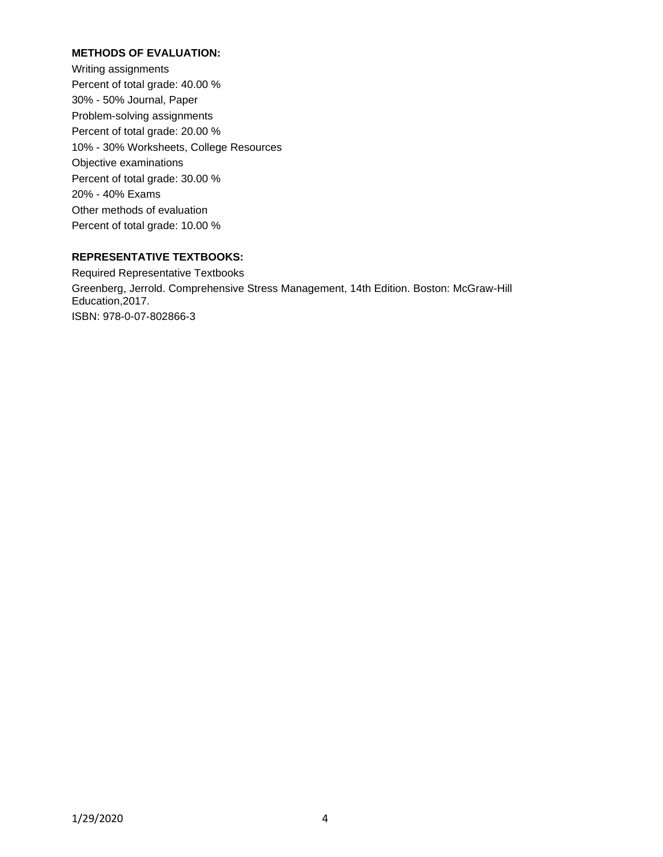## **METHODS OF EVALUATION:**

Writing assignments Percent of total grade: 40.00 % 30% - 50% Journal, Paper Problem-solving assignments Percent of total grade: 20.00 % 10% - 30% Worksheets, College Resources Objective examinations Percent of total grade: 30.00 % 20% - 40% Exams Other methods of evaluation Percent of total grade: 10.00 %

# **REPRESENTATIVE TEXTBOOKS:**

Required Representative Textbooks Greenberg, Jerrold. Comprehensive Stress Management, 14th Edition. Boston: McGraw-Hill Education,2017. ISBN: 978-0-07-802866-3